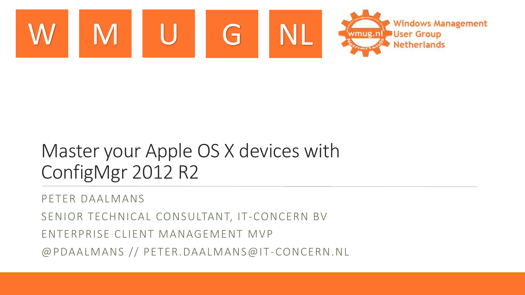

#### Master your Apple OS X devices with ConfigMgr 2012 R2

PETER DAALMANS

SENIOR TECHNICAL CONSULTANT, IT-CONCERN BV

ENTERPRISE CLIENT MANAGEMENT MVP

@PDAALMANS // PETER.DAALMANS@IT-CONCERN.NL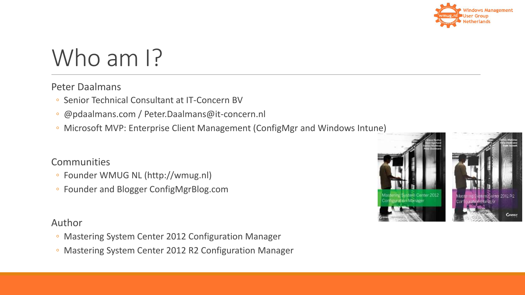

#### Who am I?

#### Peter Daalmans

- Senior Technical Consultant at IT-Concern BV
- @pdaalmans.com / Peter.Daalmans@it-concern.nl
- Microsoft MVP: Enterprise Client Management (ConfigMgr and Windows Intune)

#### **Communities**

- Founder WMUG NL (http://wmug.nl)
- Founder and Blogger ConfigMgrBlog.com

#### Author

- Mastering System Center 2012 Configuration Manager
- Mastering System Center 2012 R2 Configuration Manager

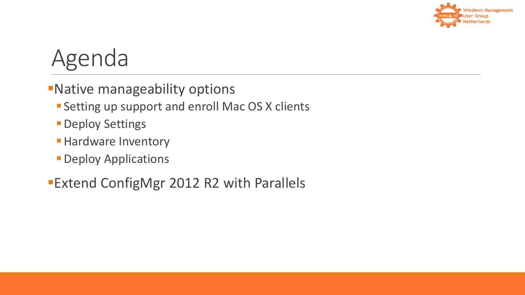

#### Agenda

- Native manageability options
	- **Setting up support and enroll Mac OS X clients**
	- **Deploy Settings**
	- **Hardware Inventory**
	- **Deploy Applications**
- Extend ConfigMgr 2012 R2 with Parallels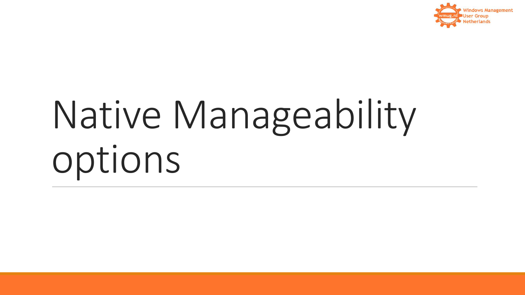

# Native Manageability options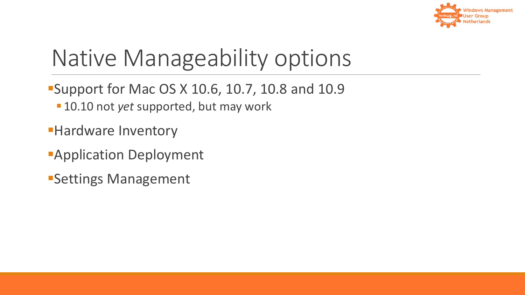

#### Native Manageability options

- **Support for Mac OS X 10.6, 10.7, 10.8 and 10.9** 10.10 not *yet* supported, but may work
- **Hardware Inventory**
- **Application Deployment**
- Settings Management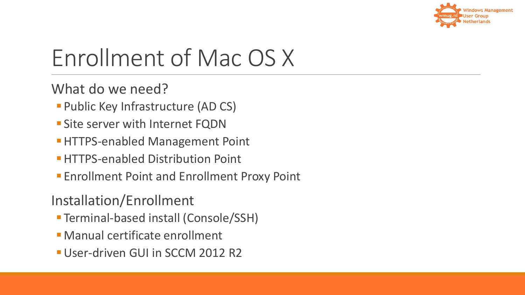

#### Enrollment of Mac OS X

What do we need?

- **Public Key Infrastructure (AD CS)**
- **Site server with Internet FQDN**
- **HTTPS-enabled Management Point**
- **HTTPS-enabled Distribution Point**
- **Enrollment Point and Enrollment Proxy Point**

Installation/Enrollment

- Terminal-based install (Console/SSH)
- Manual certificate enrollment
- User-driven GUI in SCCM 2012 R2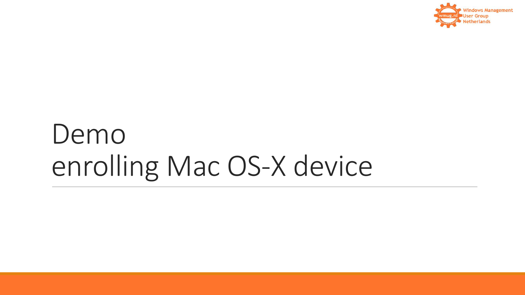

#### Demo enrolling Mac OS-X device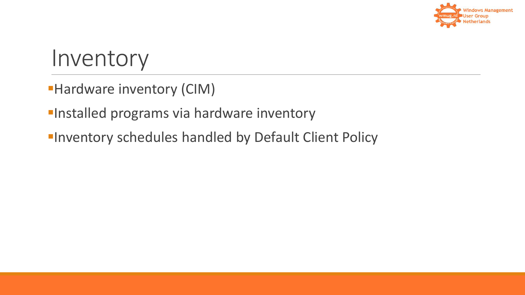

#### Inventory

- **Hardware inventory (CIM)**
- **Installed programs via hardware inventory**
- **Inventory schedules handled by Default Client Policy**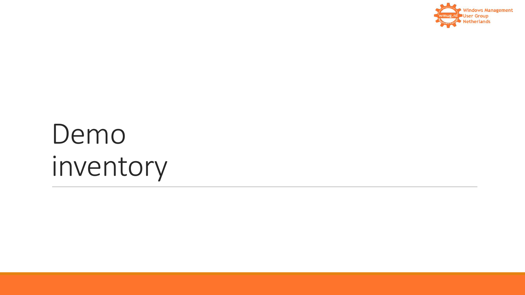

# Demo inventory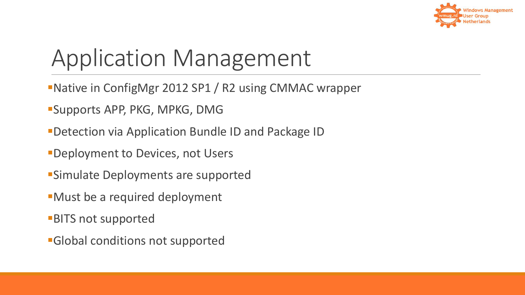

#### Application Management

- Native in ConfigMgr 2012 SP1 / R2 using CMMAC wrapper
- Supports APP, PKG, MPKG, DMG
- Detection via Application Bundle ID and Package ID
- **-Deployment to Devices, not Users**
- Simulate Deployments are supported
- Must be a required deployment
- **BITS not supported**
- Global conditions not supported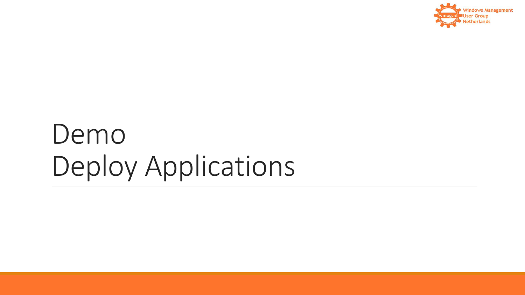

### Demo Deploy Applications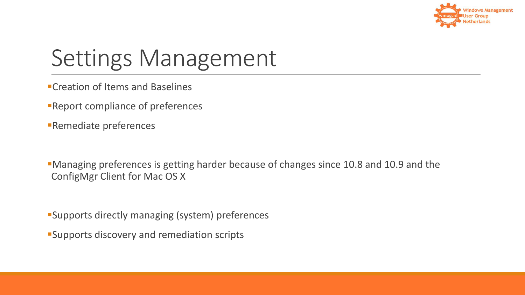

#### Settings Management

- Creation of Items and Baselines
- **Report compliance of preferences**
- Remediate preferences

Managing preferences is getting harder because of changes since 10.8 and 10.9 and the ConfigMgr Client for Mac OS X

Supports directly managing (system) preferences

Supports discovery and remediation scripts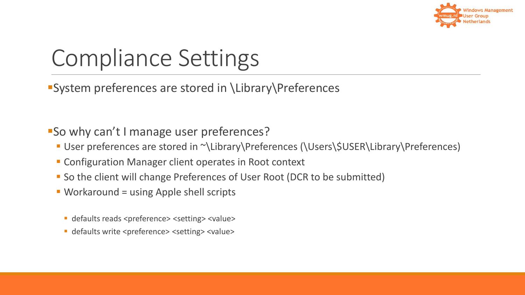

#### Compliance Settings

System preferences are stored in \Library\Preferences

So why can't I manage user preferences?

- User preferences are stored in ~\Library\Preferences (\Users\\$USER\Library\Preferences)
- **EX Configuration Manager client operates in Root context**
- So the client will change Preferences of User Root (DCR to be submitted)
- Workaround = using Apple shell scripts
	- defaults reads <preference> <setting> <value>
	- defaults write <preference> <setting> <value>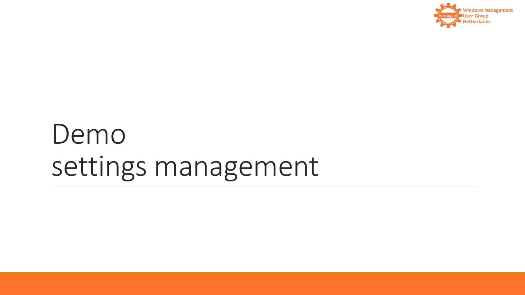

### Demo settings management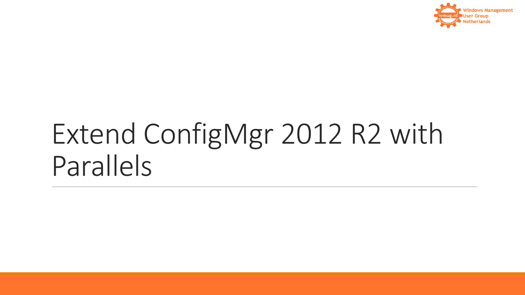

## Extend ConfigMgr 2012 R2 with Parallels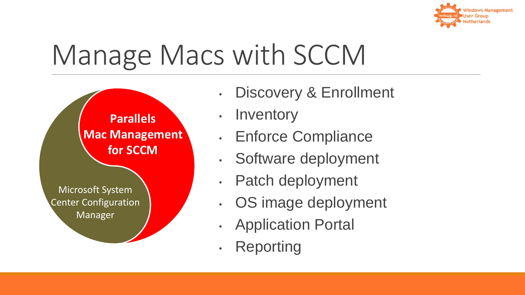

## Manage Macs with SCCM



- Discovery & Enrollment
- Inventory
- Enforce Compliance
- Software deployment
- Patch deployment
- OS image deployment
- Application Portal
- Reporting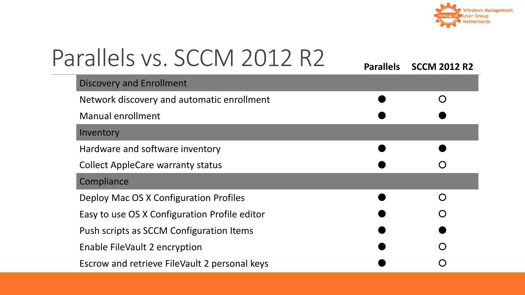

| Parallels vs. SCCM 2012 R2                    |                        |
|-----------------------------------------------|------------------------|
|                                               | Parallels SCCM 2012 R2 |
| <b>Discovery and Enrollment</b>               |                        |
| Network discovery and automatic enrollment    | $\bigcap$              |
| <b>Manual enrollment</b>                      |                        |
| Inventory                                     |                        |
| Hardware and software inventory               |                        |
| <b>Collect AppleCare warranty status</b>      |                        |
| Compliance                                    |                        |
| Deploy Mac OS X Configuration Profiles        | ∩                      |
| Easy to use OS X Configuration Profile editor |                        |
| Push scripts as SCCM Configuration Items      |                        |
| Enable FileVault 2 encryption                 |                        |
| Escrow and retrieve FileVault 2 personal keys |                        |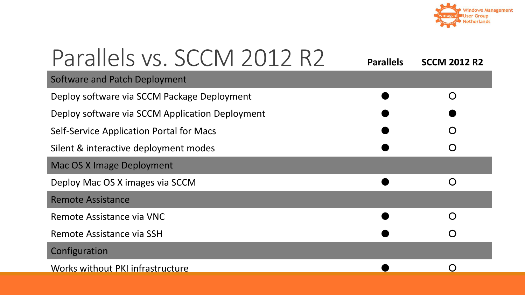

| Parallels vs. SCCM 2012 R2                      | <b>Parallels</b> | <b>SCCM 2012 R2</b> |  |
|-------------------------------------------------|------------------|---------------------|--|
| Software and Patch Deployment                   |                  |                     |  |
| Deploy software via SCCM Package Deployment     |                  | $\bigcap$           |  |
| Deploy software via SCCM Application Deployment |                  |                     |  |
| <b>Self-Service Application Portal for Macs</b> |                  |                     |  |
| Silent & interactive deployment modes           |                  |                     |  |
| <b>Mac OS X Image Deployment</b>                |                  |                     |  |
| Deploy Mac OS X images via SCCM                 |                  | $\bigcirc$          |  |
| <b>Remote Assistance</b>                        |                  |                     |  |
| Remote Assistance via VNC                       |                  |                     |  |
| Remote Assistance via SSH                       |                  |                     |  |
| Configuration                                   |                  |                     |  |
| Works without PKI infrastructure                |                  |                     |  |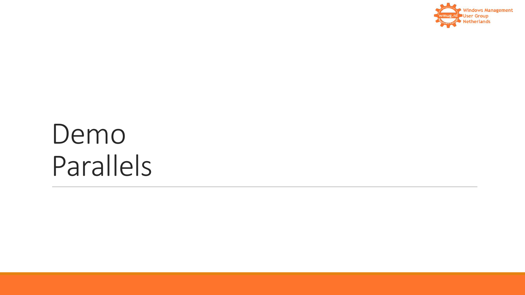

### Demo Parallels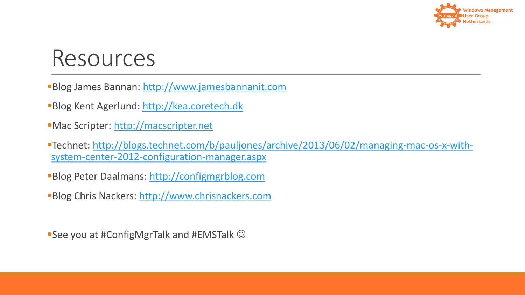

#### Resources

Blog James Bannan: [http://www.jamesbannanit.com](http://www.jamesbannanit.com/)

- Blog Kent Agerlund: [http://kea.coretech.dk](http://kea.coretech.dk/)
- Mac Scripter: [http://macscripter.net](http://macscripter.net/)
- [Technet: http://blogs.technet.com/b/pauljones/archive/2013/06/02/managing-mac-os-x-with](http://blogs.technet.com/b/pauljones/archive/2013/06/02/managing-mac-os-x-with-system-center-2012-configuration-manager.aspx)system-center-2012-configuration-manager.aspx
- **Blog Peter Daalmans: [http://configmgrblog.com](http://configmgrblog.com/)**

**Blog Chris Nackers: [http://www.chrisnackers.com](http://www.chrisnackers.com/)** 

See you at #ConfigMgrTalk and #EMSTalk  $\odot$